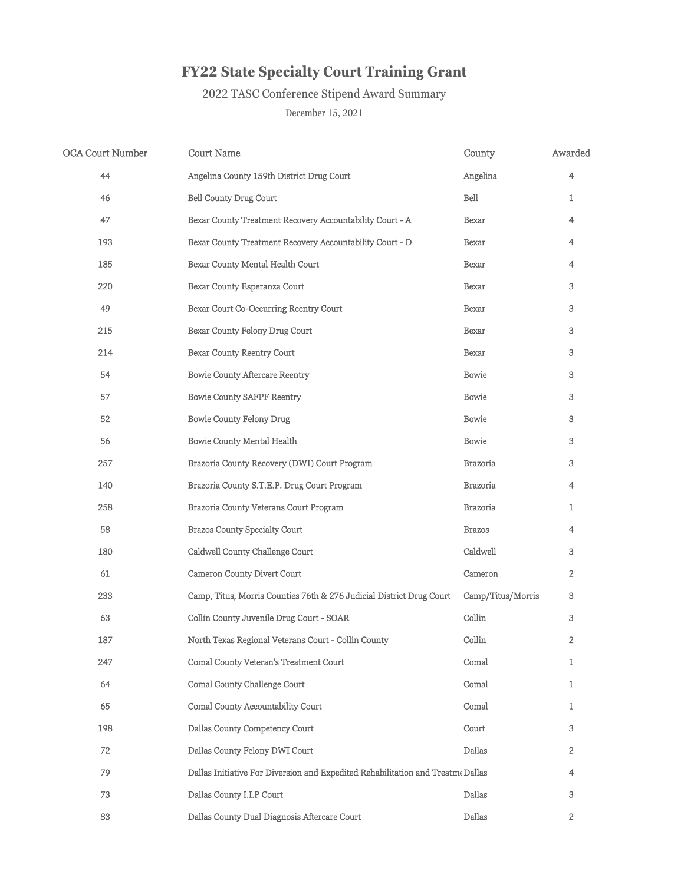| <b>OCA Court Number</b> | <b>Court Name</b>                                                               | County            | Awarded        |
|-------------------------|---------------------------------------------------------------------------------|-------------------|----------------|
| 44                      | Angelina County 159th District Drug Court                                       | Angelina          | $\overline{4}$ |
| 46                      | <b>Bell County Drug Court</b>                                                   | Bell              |                |
| 47                      | Bexar County Treatment Recovery Accountability Court - A                        | Bexar             | 4              |
| 193                     | Bexar County Treatment Recovery Accountability Court - D                        | Bexar             | 4              |
| 185                     | Bexar County Mental Health Court                                                | <b>Bexar</b>      | 4              |
| 220                     | Bexar County Esperanza Court                                                    | <b>Bexar</b>      | 3              |
| 49                      | Bexar Court Co-Occurring Reentry Court                                          | <b>Bexar</b>      | 3              |
| 215                     | Bexar County Felony Drug Court                                                  | <b>Bexar</b>      | 3              |
| 214                     | <b>Bexar County Reentry Court</b>                                               | <b>Bexar</b>      | 3              |
| 54                      | <b>Bowie County Aftercare Reentry</b>                                           | <b>Bowie</b>      | 3              |
| 57                      | <b>Bowie County SAFPF Reentry</b>                                               | <b>Bowie</b>      | 3              |
| 52                      | <b>Bowie County Felony Drug</b>                                                 | <b>Bowie</b>      | 3              |
| 56                      | <b>Bowie County Mental Health</b>                                               | Bowie             | 3              |
| 257                     | Brazoria County Recovery (DWI) Court Program                                    | <b>Brazoria</b>   | 3              |
| 140                     | Brazoria County S.T.E.P. Drug Court Program                                     | <b>Brazoria</b>   | 4              |
| 258                     | <b>Brazoria County Veterans Court Program</b>                                   | <b>Brazoria</b>   |                |
| 58                      | <b>Brazos County Specialty Court</b>                                            | <b>Brazos</b>     | 4              |
| 180                     | Caldwell County Challenge Court                                                 | Caldwell          | 3              |
| 61                      | <b>Cameron County Divert Court</b>                                              | Cameron           | $\overline{2}$ |
| 233                     | Camp, Titus, Morris Counties 76th & 276 Judicial District Drug Court            | Camp/Titus/Morris | 3              |
| 63                      | Collin County Juvenile Drug Court - SOAR                                        | Collin            | 3              |
| 187                     | North Texas Regional Veterans Court - Collin County                             | Collin            | $\overline{2}$ |
| 247                     | <b>Comal County Veteran's Treatment Court</b>                                   | Comal             |                |
| 64                      | <b>Comal County Challenge Court</b>                                             | Comal             |                |
| 65                      | <b>Comal County Accountability Court</b>                                        | Comal             |                |
| 198                     | Dallas County Competency Court                                                  | Court             | 3              |
| 72                      | Dallas County Felony DWI Court                                                  | Dallas            | $\overline{2}$ |
| 79                      | Dallas Initiative For Diversion and Expedited Rehabilitation and Treatme Dallas |                   | 4              |
| 73                      | Dallas County I.I.P Court                                                       | Dallas            | 3              |
| 83                      | Dallas County Dual Diagnosis Aftercare Court                                    | Dallas            | $\overline{2}$ |

## 2022 TASC Conference Stipend Award Summary

## **FY22 State Specialty Court Training Grant**

## December 15, 2021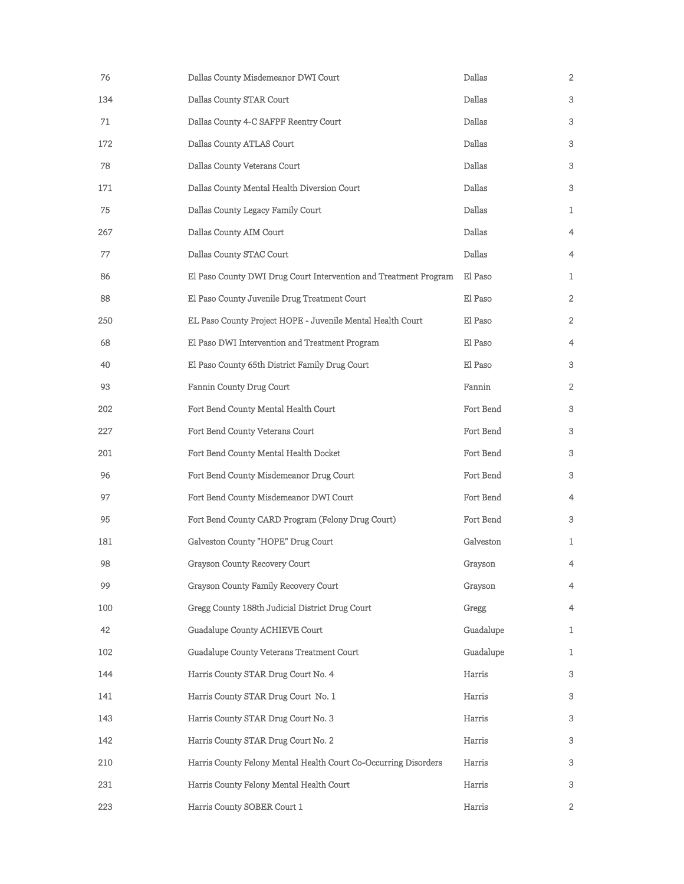| 76  | Dallas County Misdemeanor DWI Court                              | Dallas    | 2              |
|-----|------------------------------------------------------------------|-----------|----------------|
| 134 | Dallas County STAR Court                                         | Dallas    | 3              |
| 71  | Dallas County 4-C SAFPF Reentry Court                            | Dallas    | 3              |
| 172 | Dallas County ATLAS Court                                        | Dallas    | 3              |
| 78  | Dallas County Veterans Court                                     | Dallas    | 3              |
| 171 | Dallas County Mental Health Diversion Court                      | Dallas    | 3              |
| 75  | Dallas County Legacy Family Court                                | Dallas    | $\mathbf{1}$   |
| 267 | Dallas County AIM Court                                          | Dallas    | $\overline{4}$ |
| 77  | Dallas County STAC Court                                         | Dallas    | $\overline{4}$ |
| 86  | El Paso County DWI Drug Court Intervention and Treatment Program | El Paso   | $\mathbf{1}$   |
| 88  | El Paso County Juvenile Drug Treatment Court                     | El Paso   | $\overline{2}$ |
| 250 | EL Paso County Project HOPE - Juvenile Mental Health Court       | El Paso   | $\overline{2}$ |
| 68  | El Paso DWI Intervention and Treatment Program                   | El Paso   | 4              |
| 40  | El Paso County 65th District Family Drug Court                   | El Paso   | 3              |
| 93  | <b>Fannin County Drug Court</b>                                  | Fannin    | $\overline{2}$ |
| 202 | Fort Bend County Mental Health Court                             | Fort Bend | 3              |
| 227 | Fort Bend County Veterans Court                                  | Fort Bend | 3              |
| 201 | Fort Bend County Mental Health Docket                            | Fort Bend | 3              |
| 96  | Fort Bend County Misdemeanor Drug Court                          | Fort Bend | 3              |
| 97  | Fort Bend County Misdemeanor DWI Court                           | Fort Bend | $\overline{4}$ |
| 95  | Fort Bend County CARD Program (Felony Drug Court)                | Fort Bend | 3              |
| 181 | Galveston County "HOPE" Drug Court                               | Galveston | $\mathbf{1}$   |
| 98  | <b>Grayson County Recovery Court</b>                             | Grayson   | $\overline{4}$ |
| 99  | <b>Grayson County Family Recovery Court</b>                      | Grayson   | $\overline{4}$ |
| 100 | Gregg County 188th Judicial District Drug Court                  | Gregg     | $\overline{4}$ |
| 42  | Guadalupe County ACHIEVE Court                                   | Guadalupe | $\mathbf{1}$   |
| 102 | Guadalupe County Veterans Treatment Court                        | Guadalupe | $\mathbf{1}$   |
| 144 | Harris County STAR Drug Court No. 4                              | Harris    | 3              |
| 141 | Harris County STAR Drug Court No. 1                              | Harris    | 3              |
| 143 | Harris County STAR Drug Court No. 3                              | Harris    | 3              |
| 142 | Harris County STAR Drug Court No. 2                              | Harris    | 3              |
| 210 | Harris County Felony Mental Health Court Co-Occurring Disorders  | Harris    | 3              |
| 231 | Harris County Felony Mental Health Court                         | Harris    | 3              |
| 223 | Harris County SOBER Court 1                                      | Harris    | $\overline{2}$ |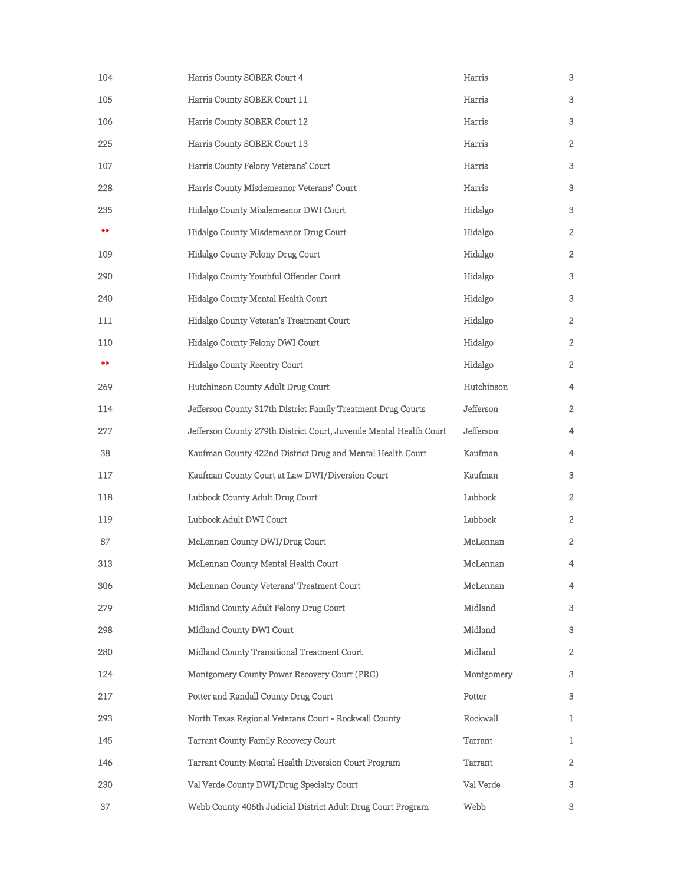| 104        | Harris County SOBER Court 4                                         | Harris     | 3              |
|------------|---------------------------------------------------------------------|------------|----------------|
| 105        | Harris County SOBER Court 11                                        | Harris     | 3              |
| 106        | Harris County SOBER Court 12                                        | Harris     | 3              |
| 225        | Harris County SOBER Court 13                                        | Harris     | $\overline{2}$ |
| 107        | Harris County Felony Veterans' Court                                | Harris     | 3              |
| 228        | Harris County Misdemeanor Veterans' Court                           | Harris     | 3              |
| 235        | Hidalgo County Misdemeanor DWI Court                                | Hidalgo    | 3              |
| $***$      | Hidalgo County Misdemeanor Drug Court                               | Hidalgo    | 2              |
| 109        | Hidalgo County Felony Drug Court                                    | Hidalgo    | 2              |
| 290        | Hidalgo County Youthful Offender Court                              | Hidalgo    | 3              |
| 240        | Hidalgo County Mental Health Court                                  | Hidalgo    | 3              |
| <b>111</b> | Hidalgo County Veteran's Treatment Court                            | Hidalgo    | $\overline{2}$ |
| 110        | Hidalgo County Felony DWI Court                                     | Hidalgo    | $\overline{2}$ |
| $* *$      | <b>Hidalgo County Reentry Court</b>                                 | Hidalgo    | 2              |
| 269        | Hutchinson County Adult Drug Court                                  | Hutchinson | $\overline{4}$ |
| 114        | Jefferson County 317th District Family Treatment Drug Courts        | Jefferson  | $\overline{2}$ |
| 277        | Jefferson County 279th District Court, Juvenile Mental Health Court | Jefferson  | $\overline{4}$ |
| 38         | Kaufman County 422nd District Drug and Mental Health Court          | Kaufman    | $\overline{4}$ |
| 117        | Kaufman County Court at Law DWI/Diversion Court                     | Kaufman    | 3              |
| 118        | Lubbock County Adult Drug Court                                     | Lubbock    | 2              |
| 119        | Lubbock Adult DWI Court                                             | Lubbock    | $2^{\circ}$    |
| 87         | McLennan County DWI/Drug Court                                      | McLennan   | $\overline{2}$ |
| 313        | McLennan County Mental Health Court                                 | McLennan   | $\overline{4}$ |
| 306        | <b>McLennan County Veterans' Treatment Court</b>                    | McLennan   | $\overline{4}$ |
| 279        | Midland County Adult Felony Drug Court                              | Midland    | 3              |
| 298        | Midland County DWI Court                                            | Midland    | 3              |
| 280        | <b>Midland County Transitional Treatment Court</b>                  | Midland    | 2              |
| 124        | Montgomery County Power Recovery Court (PRC)                        | Montgomery | 3              |
| 217        | Potter and Randall County Drug Court                                | Potter     | 3              |
| 293        | North Texas Regional Veterans Court - Rockwall County               | Rockwall   | $\mathbf{1}$   |
| 145        | <b>Tarrant County Family Recovery Court</b>                         | Tarrant    | $\mathbf{1}$   |
| 146        | <b>Tarrant County Mental Health Diversion Court Program</b>         | Tarrant    | 2              |
| 230        | Val Verde County DWI/Drug Specialty Court                           | Val Verde  | 3              |
| 37         | Webb County 406th Judicial District Adult Drug Court Program        | Webb       | $\mathfrak{B}$ |